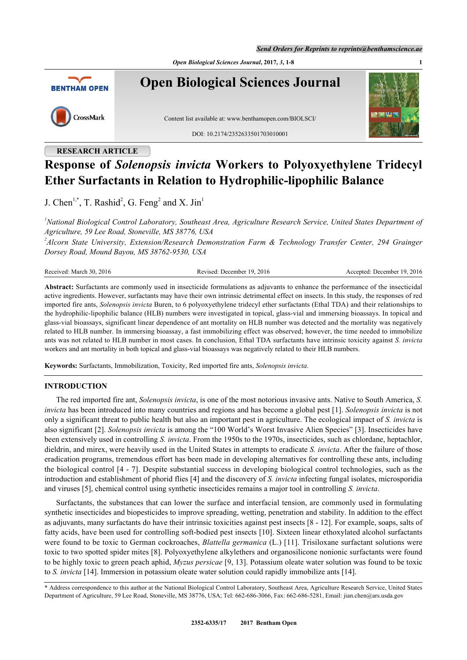*Send Orders for Reprints to reprints@benthamscience.ae*

*Open Biological Sciences Journal***, 2017,** *3***, 1-8 1**



**Open Biological Sciences Journal**



Content list available at: [www.benthamopen.com/BIOLSCI/](http://www.benthamopen.com/BIOLSCI/)

DOI: [10.2174/235263350170301000](http://dx.doi.org/10.2174/2352633501703010001)1



# **RESEARCH ARTICLE**

# **Response of** *Solenopsis invicta* **Workers to Polyoxyethylene Tridecyl Ether Surfactants in Relation to Hydrophilic-lipophilic Balance**

J. Chen<sup>[1,](#page-0-0)[\\*](#page-0-1)</sup>, T. Rashid<sup>[2](#page-0-2)</sup>, G. Feng<sup>2</sup> and X. Jin<sup>[1](#page-0-0)</sup>

<span id="page-0-0"></span>*<sup>1</sup>National Biological Control Laboratory, Southeast Area, Agriculture Research Service, United States Department of Agriculture, 59 Lee Road, Stoneville, MS 38776, USA*

<span id="page-0-2"></span>*2 Alcorn State University, Extension/Research Demonstration Farm & Technology Transfer Center, 294 Grainger Dorsey Road, Mound Bayou, MS 38762-9530, USA*

| Received: March 30, 2016<br>December 19, 2016<br>Revised: | Accepted: December 19, 2016 |
|-----------------------------------------------------------|-----------------------------|
|-----------------------------------------------------------|-----------------------------|

**Abstract:** Surfactants are commonly used in insecticide formulations as adjuvants to enhance the performance of the insecticidal active ingredients. However, surfactants may have their own intrinsic detrimental effect on insects. In this study, the responses of red imported fire ants, *Solenopsis invicta* Buren, to 6 polyoxyethylene tridecyl ether surfactants (Ethal TDA) and their relationships to the hydrophilic-lipophilic balance (HLB) numbers were investigated in topical, glass-vial and immersing bioassays. In topical and glass-vial bioassays, significant linear dependence of ant mortality on HLB number was detected and the mortality was negatively related to HLB number. In immersing bioassay, a fast immobilizing effect was observed; however, the time needed to immobilize ants was not related to HLB number in most cases. In conclusion, Ethal TDA surfactants have intrinsic toxicity against *S. invicta* workers and ant mortality in both topical and glass-vial bioassays was negatively related to their HLB numbers.

**Keywords:** Surfactants, Immobilization, Toxicity, Red imported fire ants, *Solenopsis invicta*.

# **INTRODUCTION**

The red imported fire ant, *Solenopsis invicta*, is one of the most notorious invasive ants. Native to South America, *S. invicta* has been introduced into many countries and regions and has become a global pest [[1](#page-6-0)]. *Solenopsis invicta* is not only a significant threat to public health but also an important pest in agriculture. The ecological impact of *S. invicta* is also significant [\[2](#page-6-1)]. *Solenopsis invicta* is among the "100 World's Worst Invasive Alien Species" [[3\]](#page-6-2). Insecticides have been extensively used in controlling *S. invicta*. From the 1950s to the 1970s, insecticides, such as chlordane, heptachlor, dieldrin, and mirex, were heavily used in the United States in attempts to eradicate *S. invicta*. After the failure of those eradication programs, tremendous effort has been made in developing alternatives for controlling these ants, including the biological control [[4](#page-6-3) - [7\]](#page-6-4). Despite substantial success in developing biological control technologies, such as the introduction and establishment of phorid flies [[4\]](#page-6-3) and the discovery of *S. invicta* infecting fungal isolates, microsporidia and viruses [[5\]](#page-6-5), chemical control using synthetic insecticides remains a major tool in controlling *S. invicta*.

Surfactants, the substances that can lower the surface and interfacial tension, are commonly used in formulating synthetic insecticides and biopesticides to improve spreading, wetting, penetration and stability. In addition to the effect as adjuvants, many surfactants do have their intrinsic toxicities against pest insects [[8](#page-6-6) - [12](#page-6-7)]. For example, soaps, salts of fatty acids, have been used for controlling soft-bodied pest insects [[10\]](#page-6-8). Sixteen linear ethoxylated alcohol surfactants were found to be toxic to German cockroaches, *Blattella germanica* (L.) [[11\]](#page-6-9). Trisiloxane surfactant solutions were toxic to two spotted spider mites [[8](#page-6-6)]. Polyoxyethylene alkylethers and organosilicone nonionic surfactants were found to be highly toxic to green peach aphid, *Myzus persicae* [[9,](#page-6-10) [13](#page-6-11)]. Potassium oleate water solution was found to be toxic to *S. invicta* [\[14](#page-6-12)]. Immersion in potassium oleate water solution could rapidly immobilize ants [[14\]](#page-6-12).

<span id="page-0-1"></span><sup>\*</sup> Address correspondence to this author at the National Biological Control Laboratory, Southeast Area, Agriculture Research Service, United States Department of Agriculture, 59 Lee Road, Stoneville, MS 38776, USA; Tel: 662-686-3066, Fax: 662-686-5281, Email: [jian.chen@ars.usda.gov](mailto:jian.chen@ars.usda.gov)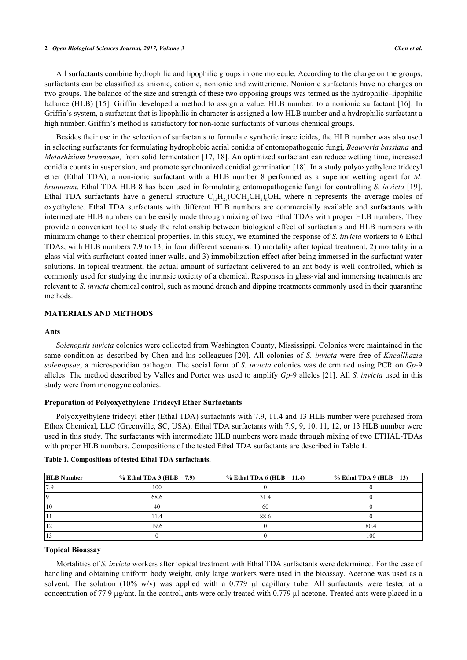#### **2** *Open Biological Sciences Journal, 2017, Volume 3 Chen et al.*

All surfactants combine hydrophilic and lipophilic groups in one molecule. According to the charge on the groups, surfactants can be classified as anionic, cationic, nonionic and zwitterionic. Nonionic surfactants have no charges on two groups. The balance of the size and strength of these two opposing groups was termed as the hydrophilic–lipophilic balance (HLB) [[15\]](#page-6-13). Griffin developed a method to assign a value, HLB number, to a nonionic surfactant [\[16\]](#page-6-14). In Griffin's system, a surfactant that is lipophilic in character is assigned a low HLB number and a hydrophilic surfactant a high number. Griffin's method is satisfactory for non-ionic surfactants of various chemical groups.

Besides their use in the selection of surfactants to formulate synthetic insecticides, the HLB number was also used in selecting surfactants for formulating hydrophobic aerial conidia of entomopathogenic fungi, *Beauveria bassiana* and *Metarhizium brunneum,* from solid fermentation [[17](#page-6-15), [18\]](#page-6-16). An optimized surfactant can reduce wetting time, increased conidia counts in suspension, and promote synchronized conidial germination [[18](#page-6-16)]. In a study polyoxyethylene tridecyl ether (Ethal TDA), a non-ionic surfactant with a HLB number 8 performed as a superior wetting agent for *M. brunneum*. Ethal TDA HLB 8 has been used in formulating entomopathogenic fungi for controlling *S. invicta* [\[19\]](#page-6-17). Ethal TDA surfactants have a general structure  $C_{13}H_{27}(\text{OCH}_2\text{CH}_2)$ <sub>n</sub>OH, where n represents the average moles of oxyethylene. Ethal TDA surfactants with different HLB numbers are commercially available and surfactants with intermediate HLB numbers can be easily made through mixing of two Ethal TDAs with proper HLB numbers. They provide a convenient tool to study the relationship between biological effect of surfactants and HLB numbers with minimum change to their chemical properties. In this study, we examined the response of *S. invicta* workers to 6 Ethal TDAs, with HLB numbers 7.9 to 13, in four different scenarios: 1) mortality after topical treatment, 2) mortality in a glass-vial with surfactant-coated inner walls, and 3) immobilization effect after being immersed in the surfactant water solutions. In topical treatment, the actual amount of surfactant delivered to an ant body is well controlled, which is commonly used for studying the intrinsic toxicity of a chemical. Responses in glass-vial and immersing treatments are relevant to *S. invicta* chemical control, such as mound drench and dipping treatments commonly used in their quarantine methods.

## **MATERIALS AND METHODS**

#### **Ants**

*Solenopsis invicta* colonies were collected from Washington County, Mississippi. Colonies were maintained in the same condition as described by Chen and his colleagues [\[20](#page-7-0)]. All colonies of *S. invicta* were free of *Kneallhazia solenopsae*, a microsporidian pathogen. The social form of *S. invicta* colonies was determined using PCR on *Gp-*9 alleles. The method described by Valles and Porter was used to amplify *Gp-*9 alleles [\[21](#page-7-1)]. All *S. invicta* used in this study were from monogyne colonies.

#### **Preparation of Polyoxyethylene Tridecyl Ether Surfactants**

Polyoxyethylene tridecyl ether (Ethal TDA) surfactants with 7.9, 11.4 and 13 HLB number were purchased from Ethox Chemical, LLC (Greenville, SC, USA). Ethal TDA surfactants with 7.9, 9, 10, 11, 12, or 13 HLB number were used in this study. The surfactants with intermediate HLB numbers were made through mixing of two ETHAL-TDAs with proper HLB numbers. Compositions of the tested Ethal TDA surfactants are described in Table **[1](#page-1-0)**.

| <b>HLB</b> Number | % Ethal TDA 3 (HLB = $7.9$ ) | % Ethal TDA $6$ (HLB = 11.4) | $%$ Ethal TDA 9 (HLB = 13) |
|-------------------|------------------------------|------------------------------|----------------------------|
|                   | 100                          |                              |                            |
|                   | 68.6                         | 31.4                         |                            |
|                   | 40                           | 60                           |                            |
|                   |                              | 88.6                         |                            |
|                   | 19.6                         |                              | 80.4                       |
|                   |                              |                              | 100                        |

#### <span id="page-1-0"></span>**Table 1. Compositions of tested Ethal TDA surfactants.**

#### **Topical Bioassay**

Mortalities of *S. invicta* workers after topical treatment with Ethal TDA surfactants were determined. For the ease of handling and obtaining uniform body weight, only large workers were used in the bioassay. Acetone was used as a solvent. The solution (10% w/v) was applied with a 0.779  $\mu$ l capillary tube. All surfactants were tested at a concentration of 77.9  $\mu$ g/ant. In the control, ants were only treated with 0.779  $\mu$ l acetone. Treated ants were placed in a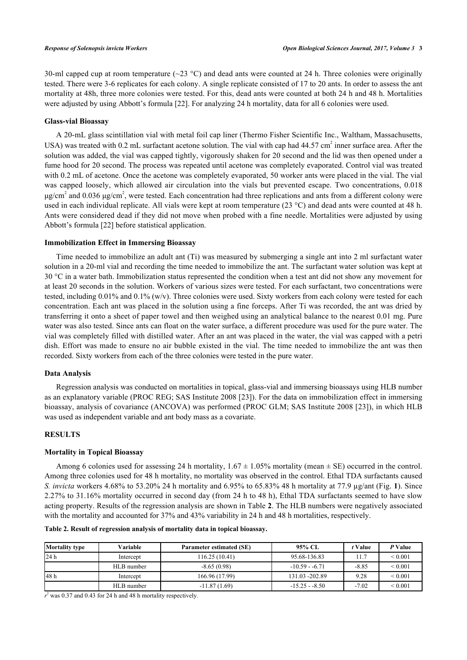30-ml capped cup at room temperature ( $\sim$ 23 °C) and dead ants were counted at 24 h. Three colonies were originally tested. There were 3-6 replicates for each colony. A single replicate consisted of 17 to 20 ants. In order to assess the ant mortality at 48h, three more colonies were tested. For this, dead ants were counted at both 24 h and 48 h. Mortalities were adjusted by using Abbott's formula [\[22](#page-7-2)]. For analyzing 24 h mortality, data for all 6 colonies were used.

## **Glass-vial Bioassay**

A 20-mL glass scintillation vial with metal foil cap liner (Thermo Fisher Scientific Inc., Waltham, Massachusetts, USA) was treated with 0.2 mL surfactant acetone solution. The vial with cap had  $44.57 \text{ cm}^2$  inner surface area. After the solution was added, the vial was capped tightly, vigorously shaken for 20 second and the lid was then opened under a fume hood for 20 second. The process was repeated until acetone was completely evaporated. Control vial was treated with 0.2 mL of acetone. Once the acetone was completely evaporated, 50 worker ants were placed in the vial. The vial was capped loosely, which allowed air circulation into the vials but prevented escape. Two concentrations, 0.018 μg/cm<sup>2</sup> and 0.036 μg/cm<sup>2</sup>, were tested. Each concentration had three replications and ants from a different colony were used in each individual replicate. All vials were kept at room temperature (23 °C) and dead ants were counted at 48 h. Ants were considered dead if they did not move when probed with a fine needle. Mortalities were adjusted by using Abbott's formula [[22\]](#page-7-2) before statistical application.

### **Immobilization Effect in Immersing Bioassay**

Time needed to immobilize an adult ant (Ti) was measured by submerging a single ant into 2 ml surfactant water solution in a 20-ml vial and recording the time needed to immobilize the ant. The surfactant water solution was kept at 30 °C in a water bath. Immobilization status represented the condition when a test ant did not show any movement for at least 20 seconds in the solution. Workers of various sizes were tested. For each surfactant, two concentrations were tested, including 0.01% and 0.1% (w/v). Three colonies were used. Sixty workers from each colony were tested for each concentration. Each ant was placed in the solution using a fine forceps. After Ti was recorded, the ant was dried by transferring it onto a sheet of paper towel and then weighed using an analytical balance to the nearest 0.01 mg. Pure water was also tested. Since ants can float on the water surface, a different procedure was used for the pure water. The vial was completely filled with distilled water. After an ant was placed in the water, the vial was capped with a petri dish. Effort was made to ensure no air bubble existed in the vial. The time needed to immobilize the ant was then recorded. Sixty workers from each of the three colonies were tested in the pure water.

# **Data Analysis**

Regression analysis was conducted on mortalities in topical, glass-vial and immersing bioassays using HLB number as an explanatory variable (PROC REG; SAS Institute 2008 [[23\]](#page-7-3)). For the data on immobilization effect in immersing bioassay, analysis of covariance (ANCOVA) was performed (PROC GLM; SAS Institute 2008 [[23\]](#page-7-3)), in which HLB was used as independent variable and ant body mass as a covariate.

### **RESULTS**

# **Mortality in Topical Bioassay**

Among 6 colonies used for assessing 24 h mortality,  $1.67 \pm 1.05\%$  mortality (mean  $\pm$  SE) occurred in the control. Among three colonies used for 48 h mortality, no mortality was observed in the control. Ethal TDA surfactants caused *S. invicta* workers 4.68% to 53.20% 24 h mortality and 6.95% to 65.83% 48 h mortality at 77.9 µg/ant (Fig. **[1](#page-2-0)**). Since 2.27% to 31.16% mortality occurred in second day (from 24 h to 48 h), Ethal TDA surfactants seemed to have slow acting property. Results of the regression analysis are shown in Table **[2](#page-2-1)**. The HLB numbers were negatively associated with the mortality and accounted for 37% and 43% variability in 24 h and 48 h mortalities, respectively.

| <b>Mortality type</b> | Variable   | <b>Parameter estimated (SE)</b> | 95% CL          | t Value | P Value      |
|-----------------------|------------|---------------------------------|-----------------|---------|--------------|
| 24 h                  | Intercept  | 116.25 (10.41)                  | 95.68-136.83    | 11.7    | ${}_{0.001}$ |
|                       | HLB number | $-8.65(0.98)$                   | $-10.59 - 6.71$ | $-8.85$ | ${}_{0.001}$ |
| 48 h                  | Intercept  | 166.96 (17.99)                  | 131.03 - 202.89 | 9.28    | ${}_{0.001}$ |
|                       | HLB number | $-11.87(1.69)$                  | $-15.25 - 8.50$ | $-7.02$ | ${}_{0.001}$ |

<span id="page-2-1"></span>**Table 2. Result of regression analysis of mortality data in topical bioassay.**

<span id="page-2-0"></span> $r^2$  was 0.37 and 0.43 for 24 h and 48 h mortality respectively.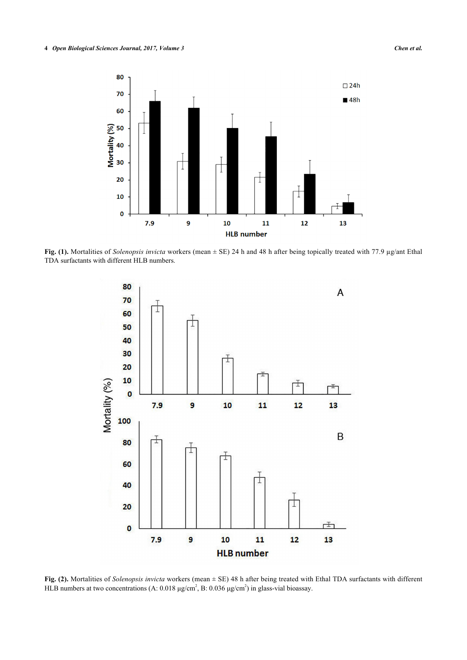

<span id="page-3-0"></span>**Fig. (1).** Mortalities of *Solenopsis invicta* workers (mean ± SE) 24 h and 48 h after being topically treated with 77.9 µg/ant Ethal TDA surfactants with different HLB numbers.



**Fig. (2).** Mortalities of *Solenopsis invicta* workers (mean ± SE) 48 h after being treated with Ethal TDA surfactants with different HLB numbers at two concentrations (A:  $0.018 \mu\text{g/cm}^2$ , B:  $0.036 \mu\text{g/cm}^2$ ) in glass-vial bioassay.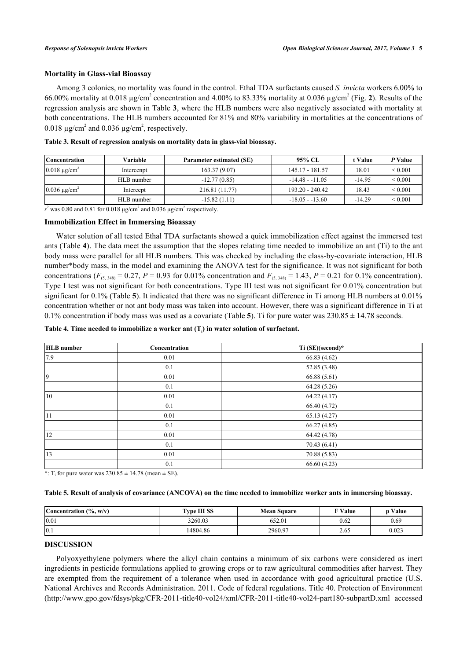## **Mortality in Glass-vial Bioassay**

Among 3 colonies, no mortality was found in the control. Ethal TDA surfactants caused *S. invicta* workers 6.00% to 66.00% mortality at 0.018  $\mu$ g/cm<sup>[2](#page-3-0)</sup> concentration and 4.00% to 83.33% mortality at 0.036  $\mu$ g/cm<sup>2</sup> (Fig. 2). Results of the regression analysis are shown in Table **[3](#page-4-0)**, where the HLB numbers were also negatively associated with mortality at both concentrations. The HLB numbers accounted for 81% and 80% variability in mortalities at the concentrations of 0.018  $\mu$ g/cm<sup>2</sup> and 0.036  $\mu$ g/cm<sup>2</sup>, respectively.

| <b>Concentration</b>          | Variable   | <b>Parameter estimated (SE)</b> | 95% CL            | t Value  | P Value           |
|-------------------------------|------------|---------------------------------|-------------------|----------|-------------------|
| $0.018 \mu$ g/cm <sup>2</sup> | Intercenpt | 163.37(9.07)                    | 145.17 - 181.57   | 18.01    | ${}_{0.001}$      |
|                               | HLB number | $-12.77(0.85)$                  | $-14.48 - 11.05$  | $-14.95$ | ${}_{0.001}$      |
| $0.036 \mu$ g/cm <sup>2</sup> | Intercept  | 216.81 (11.77)                  | $193.20 - 240.42$ | 18.43    | ${}_{0.001}$      |
|                               | HLB number | $-15.82(1.11)$                  | $-18.05 - 13.60$  | $-14.29$ | ${}_{\leq 0.001}$ |

<span id="page-4-0"></span>**Table 3. Result of regression analysis on mortality data in glass-vial bioassay.**

 $r^2$  was 0.80 and 0.81 for 0.018  $\mu$ g/cm<sup>2</sup> and 0.036  $\mu$ g/cm<sup>2</sup> respectively.

## **Immobilization Effect in Immersing Bioassay**

Water solution of all tested Ethal TDA surfactants showed a quick immobilization effect against the immersed test ants (Table **[4](#page-4-1)**). The data meet the assumption that the slopes relating time needed to immobilize an ant (Ti) to the ant body mass were parallel for all HLB numbers. This was checked by including the class-by-covariate interaction, HLB number\*body mass, in the model and examining the ANOVA test for the significance. It was not significant for both concentrations ( $F_{(5, 348)} = 0.27$ ,  $P = 0.93$  for 0.01% concentration and  $F_{(5, 348)} = 1.43$ ,  $P = 0.21$  for 0.1% concentration). Type I test was not significant for both concentrations. Type III test was not significant for 0.01% concentration but significant for 0.1% (Table **[5](#page-4-2)**). It indicated that there was no significant difference in Ti among HLB numbers at 0.01% concentration whether or not ant body mass was taken into account. However, there was a significant difference in Ti at 0.1% concentration if body mass was used as a covariate (Table **[5](#page-4-2)**). Ti for pure water was 230.85 ± 14.78 seconds.

<span id="page-4-1"></span>**Table 4. Time needed to immobilize a worker ant (T<sup>i</sup> ) in water solution of surfactant.**

| <b>HLB</b> number<br>Concentration |      | Ti (SE)(second)* |  |
|------------------------------------|------|------------------|--|
| 7.9                                | 0.01 | 66.83 (4.62)     |  |
|                                    | 0.1  | 52.85 (3.48)     |  |
| 9                                  | 0.01 | 66.88(5.61)      |  |
|                                    | 0.1  | 64.28 (5.26)     |  |
| 10                                 | 0.01 | 64.22(4.17)      |  |
|                                    | 0.1  | 66.40 (4.72)     |  |
| 11                                 | 0.01 | 65.13(4.27)      |  |
|                                    | 0.1  | 66.27(4.85)      |  |
| 12                                 | 0.01 | 64.42 (4.78)     |  |
|                                    | 0.1  | 70.43 (6.41)     |  |
| 13                                 | 0.01 | 70.88 (5.83)     |  |
|                                    | 0.1  | 66.60 (4.23)     |  |

\*:  $T_i$  for pure water was  $230.85 \pm 14.78$  (mean  $\pm$  SE).

<span id="page-4-2"></span>

|  | Table 5. Result of analysis of covariance (ANCOVA) on the time needed to immobilize worker ants in immersing bioassay. |  |
|--|------------------------------------------------------------------------------------------------------------------------|--|
|--|------------------------------------------------------------------------------------------------------------------------|--|

| Concentration $(\% , w/v)$ | <b>Type III SS</b> | <b>Mean Square</b> | <b>F</b> Value | Value |
|----------------------------|--------------------|--------------------|----------------|-------|
| 0.01                       | 3260.03            | 652.01             | 0.62           | 0.69  |
| $ 0.1\rangle$              | 14804.86           | 2960.97            | 2.03           | 0.023 |

# **DISCUSSION**

Polyoxyethylene polymers where the alkyl chain contains a minimum of six carbons were considered as inert ingredients in pesticide formulations applied to growing crops or to raw agricultural commodities after harvest. They are exempted from the requirement of a tolerance when used in accordance with good agricultural practice (U.S. National Archives and Records Administration. 2011. Code of federal regulations. Title 40. Protection of Environment [\(http://www.gpo.gov/fdsys/pkg/CFR-2011-title40-vol24/xml/CFR-2011-title40-vol24-part180-subpartD.xml](http://www.gpo.gov/fdsys/pkg/CFR-2011-title40-vol24/xml/CFR-2011-title40-vol24-part180-subpartD.xml) accessed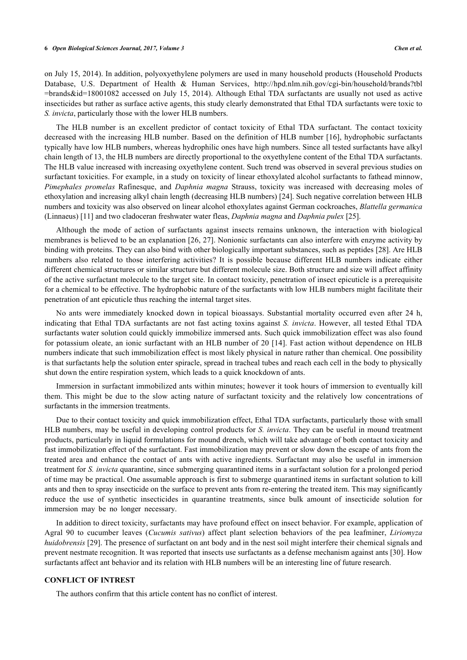#### **6** *Open Biological Sciences Journal, 2017, Volume 3 Chen et al.*

on July 15, 2014). In addition, polyoxyethylene polymers are used in many household products (Household Products Database, U.S. Department of Health & Human Services, [http://hpd.nlm.nih.gov/cgi-bin/household/brands?tbl](http://hpd.nlm.nih.gov/cgi-bin/household/brands?tbl=brands&id=18001082) [=brands&id=18001082](http://hpd.nlm.nih.gov/cgi-bin/household/brands?tbl=brands&id=18001082) accessed on July 15, 2014). Although Ethal TDA surfactants are usually not used as active insecticides but rather as surface active agents, this study clearly demonstrated that Ethal TDA surfactants were toxic to *S. invicta*, particularly those with the lower HLB numbers.

The HLB number is an excellent predictor of contact toxicity of Ethal TDA surfactant. The contact toxicity decreased with the increasing HLB number. Based on the definition of HLB number [[16\]](#page-6-14), hydrophobic surfactants typically have low HLB numbers, whereas hydrophilic ones have high numbers. Since all tested surfactants have alkyl chain length of 13, the HLB numbers are directly proportional to the oxyethylene content of the Ethal TDA surfactants. The HLB value increased with increasing oxyethylene content. Such trend was observed in several previous studies on surfactant toxicities. For example, in a study on toxicity of linear ethoxylated alcohol surfactants to fathead minnow, *Pimephales promelas* Rafinesque, and *Daphnia magna* Strauss, toxicity was increased with decreasing moles of ethoxylation and increasing alkyl chain length (decreasing HLB numbers) [\[24](#page-7-4)]. Such negative correlation between HLB numbers and toxicity was also observed on linear alcohol ethoxylates against German cockroaches, *Blattella germanica* (Linnaeus) [[11\]](#page-6-9) and two cladoceran freshwater water fleas, *Daphnia magna* and *Daphnia pulex* [\[25](#page-7-5)].

Although the mode of action of surfactants against insects remains unknown, the interaction with biological membranes is believed to be an explanation [\[26](#page-7-6), [27\]](#page-7-7). Nonionic surfactants can also interfere with enzyme activity by binding with proteins. They can also bind with other biologically important substances, such as peptides [\[28](#page-7-8)]. Are HLB numbers also related to those interfering activities? It is possible because different HLB numbers indicate either different chemical structures or similar structure but different molecule size. Both structure and size will affect affinity of the active surfactant molecule to the target site. In contact toxicity, penetration of insect epicuticle is a prerequisite for a chemical to be effective. The hydrophobic nature of the surfactants with low HLB numbers might facilitate their penetration of ant epicuticle thus reaching the internal target sites.

No ants were immediately knocked down in topical bioassays. Substantial mortality occurred even after 24 h, indicating that Ethal TDA surfactants are not fast acting toxins against *S. invicta*. However, all tested Ethal TDA surfactants water solution could quickly immobilize immersed ants. Such quick immobilization effect was also found for potassium oleate, an ionic surfactant with an HLB number of 20 [[14](#page-6-12)]. Fast action without dependence on HLB numbers indicate that such immobilization effect is most likely physical in nature rather than chemical. One possibility is that surfactants help the solution enter spiracle, spread in tracheal tubes and reach each cell in the body to physically shut down the entire respiration system, which leads to a quick knockdown of ants.

Immersion in surfactant immobilized ants within minutes; however it took hours of immersion to eventually kill them. This might be due to the slow acting nature of surfactant toxicity and the relatively low concentrations of surfactants in the immersion treatments.

Due to their contact toxicity and quick immobilization effect, Ethal TDA surfactants, particularly those with small HLB numbers, may be useful in developing control products for *S. invicta*. They can be useful in mound treatment products, particularly in liquid formulations for mound drench, which will take advantage of both contact toxicity and fast immobilization effect of the surfactant. Fast immobilization may prevent or slow down the escape of ants from the treated area and enhance the contact of ants with active ingredients. Surfactant may also be useful in immersion treatment for *S. invicta* quarantine, since submerging quarantined items in a surfactant solution for a prolonged period of time may be practical. One assumable approach is first to submerge quarantined items in surfactant solution to kill ants and then to spray insecticide on the surface to prevent ants from re-entering the treated item. This may significantly reduce the use of synthetic insecticides in quarantine treatments, since bulk amount of insecticide solution for immersion may be no longer necessary.

In addition to direct toxicity, surfactants may have profound effect on insect behavior. For example, application of Agral 90 to cucumber leaves (*Cucumis sativus*) affect plant selection behaviors of the pea leafminer, *Liriomyza huidobrensis* [[29\]](#page-7-9). The presence of surfactant on ant body and in the nest soil might interfere their chemical signals and prevent nestmate recognition. It was reported that insects use surfactants as a defense mechanism against ants [[30\]](#page-7-10). How surfactants affect ant behavior and its relation with HLB numbers will be an interesting line of future research.

### **CONFLICT OF INTREST**

The authors confirm that this article content has no conflict of interest.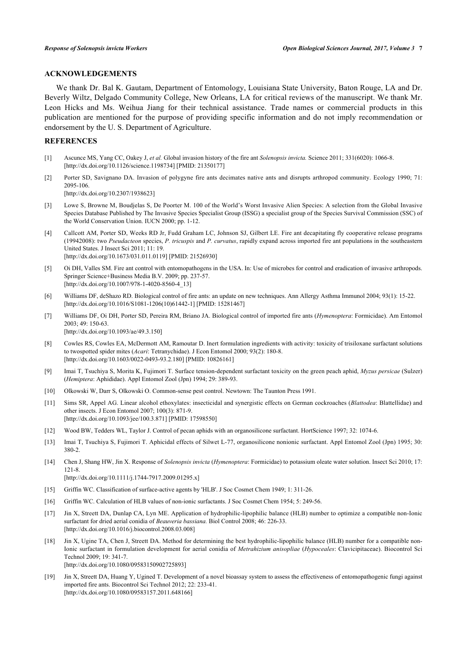## **ACKNOWLEDGEMENTS**

We thank Dr. Bal K. Gautam, Department of Entomology, Louisiana State University, Baton Rouge, LA and Dr. Beverly Wiltz, Delgado Community College, New Orleans, LA for critical reviews of the manuscript. We thank Mr. Leon Hicks and Ms. Weihua Jiang for their technical assistance. Trade names or commercial products in this publication are mentioned for the purpose of providing specific information and do not imply recommendation or endorsement by the U. S. Department of Agriculture.

# **REFERENCES**

- <span id="page-6-0"></span>[1] Ascunce MS, Yang CC, Oakey J, *et al.* Global invasion history of the fire ant *Solenopsis invicta.* Science 2011; 331(6020): 1066-8. [\[http://dx.doi.org/10.1126/science.1198734](http://dx.doi.org/10.1126/science.1198734)] [PMID: [21350177\]](http://www.ncbi.nlm.nih.gov/pubmed/21350177)
- <span id="page-6-1"></span>[2] Porter SD, Savignano DA. Invasion of polygyne fire ants decimates native ants and disrupts arthropod community. Ecology 1990; 71: 2095-106.

[\[http://dx.doi.org/10.2307/1938623\]](http://dx.doi.org/10.2307/1938623)

- <span id="page-6-2"></span>[3] Lowe S, Browne M, Boudjelas S, De Poorter M. 100 of the World's Worst Invasive Alien Species: A selection from the Global Invasive Species Database Published by The Invasive Species Specialist Group (ISSG) a specialist group of the Species Survival Commission (SSC) of the World Conservation Union. IUCN 2000; pp. 1-12.
- <span id="page-6-3"></span>[4] Callcott AM, Porter SD, Weeks RD Jr, Fudd Graham LC, Johnson SJ, Gilbert LE. Fire ant decapitating fly cooperative release programs (19942008): two *Pseudacteon* species, *P. tricuspis* and *P. curvatus*, rapidly expand across imported fire ant populations in the southeastern United States. J Insect Sci 2011; 11: 19. [\[http://dx.doi.org/10.1673/031.011.0119\]](http://dx.doi.org/10.1673/031.011.0119) [PMID: [21526930](http://www.ncbi.nlm.nih.gov/pubmed/21526930)]
- <span id="page-6-5"></span>[5] Oi DH, Valles SM. Fire ant control with entomopathogens in the USA. In: Use of microbes for control and eradication of invasive arthropods. Springer Science+Business Media B.V. 2009; pp. 237-57. [\[http://dx.doi.org/10.1007/978-1-4020-8560-4\\_13](http://dx.doi.org/10.1007/978-1-4020-8560-4_13)]
- [6] Williams DF, deShazo RD. Biological control of fire ants: an update on new techniques. Ann Allergy Asthma Immunol 2004; 93(1): 15-22. [\[http://dx.doi.org/10.1016/S1081-1206\(10\)61442-1\]](http://dx.doi.org/10.1016/S1081-1206(10)61442-1) [PMID: [15281467](http://www.ncbi.nlm.nih.gov/pubmed/15281467)]
- <span id="page-6-4"></span>[7] Williams DF, Oi DH, Porter SD, Pereira RM, Briano JA. Biological control of imported fire ants (*Hymenoptera*: Formicidae). Am Entomol 2003; 49: 150-63. [\[http://dx.doi.org/10.1093/ae/49.3.150](http://dx.doi.org/10.1093/ae/49.3.150)]
- <span id="page-6-6"></span>[8] Cowles RS, Cowles EA, McDermott AM, Ramoutar D. Inert formulation ingredients with activity: toxicity of trisiloxane surfactant solutions to twospotted spider mites (*Acari*: Tetranychidae). J Econ Entomol 2000; 93(2): 180-8. [\[http://dx.doi.org/10.1603/0022-0493-93.2.180](http://dx.doi.org/10.1603/0022-0493-93.2.180)] [PMID: [10826161\]](http://www.ncbi.nlm.nih.gov/pubmed/10826161)
- <span id="page-6-10"></span>[9] Imai T, Tsuchiya S, Morita K, Fujimori T. Surface tension-dependent surfactant toxicity on the green peach aphid, *Myzus persicae* (Sulzer) (*Hemiptera*: Aphididae). Appl Entomol Zool (Jpn) 1994; 29: 389-93.
- <span id="page-6-8"></span>[10] Olkowski W, Darr S, Olkowski O. Common-sense pest control. Newtown: The Taunton Press 1991.
- <span id="page-6-9"></span>[11] Sims SR, Appel AG. Linear alcohol ethoxylates: insecticidal and synergistic effects on German cockroaches (*Blattodea*: Blattellidae) and other insects. J Econ Entomol 2007; 100(3): 871-9. [\[http://dx.doi.org/10.1093/jee/100.3.871](http://dx.doi.org/10.1093/jee/100.3.871)] [PMID: [17598550\]](http://www.ncbi.nlm.nih.gov/pubmed/17598550)
- <span id="page-6-7"></span>[12] Wood BW, Tedders WL, Taylor J. Control of pecan aphids with an organosilicone surfactant. HortScience 1997; 32: 1074-6.
- <span id="page-6-11"></span>[13] Imai T, Tsuchiya S, Fujimori T. Aphicidal effects of Silwet L-77, organosilicone nonionic surfactant. Appl Entomol Zool (Jpn) 1995; 30: 380-2.
- <span id="page-6-12"></span>[14] Chen J, Shang HW, Jin X. Response of *Solenopsis invicta* (*Hymenoptera*: Formicidae) to potassium oleate water solution. Insect Sci 2010; 17: 121-8.

[\[http://dx.doi.org/10.1111/j.1744-7917.2009.01295.x\]](http://dx.doi.org/10.1111/j.1744-7917.2009.01295.x)

- <span id="page-6-13"></span>[15] Griffin WC. Classification of surface-active agents by 'HLB'. J Soc Cosmet Chem 1949; 1: 311-26.
- <span id="page-6-14"></span>[16] Griffin WC. Calculation of HLB values of non-ionic surfactants. J Soc Cosmet Chem 1954; 5: 249-56.
- <span id="page-6-15"></span>[17] Jin X, Streett DA, Dunlap CA, Lyn ME. Application of hydrophilic-lipophilic balance (HLB) number to optimize a compatible non-Ionic surfactant for dried aerial conidia of *Beauveria bassiana.* Biol Control 2008; 46: 226-33. [\[http://dx.doi.org/10.1016/j.biocontrol.2008.03.008\]](http://dx.doi.org/10.1016/j.biocontrol.2008.03.008)
- <span id="page-6-16"></span>[18] Jin X, Ugine TA, Chen J, Streett DA. Method for determining the best hydrophilic-lipophilic balance (HLB) number for a compatible non-Ionic surfactant in formulation development for aerial conidia of *Metrahizium anisopliae* (*Hypoceales*: Clavicipitaceae). Biocontrol Sci Technol 2009; 19: 341-7. [\[http://dx.doi.org/10.1080/09583150902725893\]](http://dx.doi.org/10.1080/09583150902725893)
- <span id="page-6-17"></span>[19] Jin X, Streett DA, Huang Y, Ugined T. Development of a novel bioassay system to assess the effectiveness of entomopathogenic fungi against imported fire ants. Biocontrol Sci Technol 2012; 22: 233-41. [\[http://dx.doi.org/10.1080/09583157.2011.648166\]](http://dx.doi.org/10.1080/09583157.2011.648166)